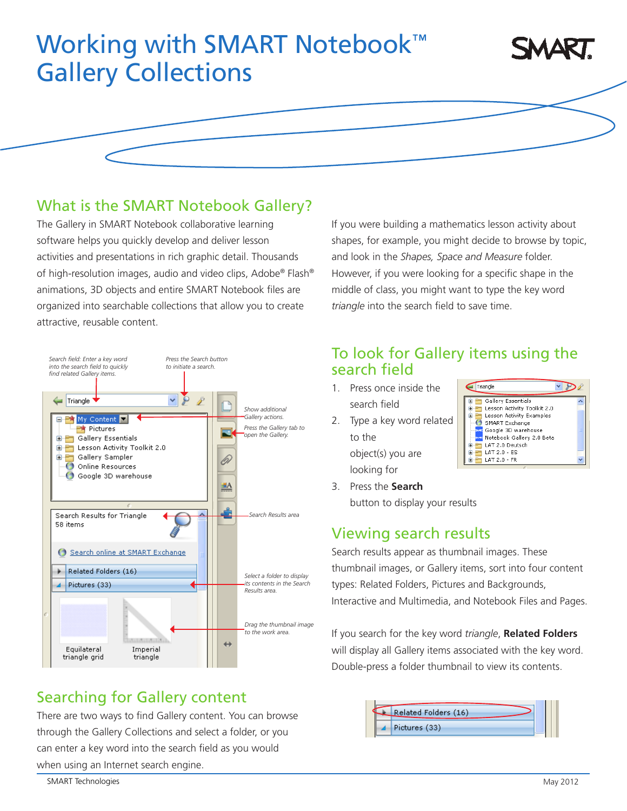# Working with SMART Notebook™ Gallery Collections



#### What is the SMART Notebook Gallery?

The Gallery in SMART Notebook collaborative learning software helps you quickly develop and deliver lesson activities and presentations in rich graphic detail. Thousands of high-resolution images, audio and video clips, Adobe® Flash® animations, 3D objects and entire SMART Notebook files are organized into searchable collections that allow you to create attractive, reusable content.



#### Searching for Gallery content

There are two ways to find Gallery content. You can browse through the Gallery Collections and select a folder, or you can enter a key word into the search field as you would when using an Internet search engine.

If you were building a mathematics lesson activity about shapes, for example, you might decide to browse by topic, and look in the *Shapes, Space and Measure* folder. However, if you were looking for a specific shape in the middle of class, you might want to type the key word *triangle* into the search field to save time.

### To look for Gallery items using the search field

- 1. Press once inside the search field
- 2. Type a key word related to the object(s) you are looking for



3. Press the **Search** button to display your results

## Viewing search results

Search results appear as thumbnail images. These thumbnail images, or Gallery items, sort into four content types: Related Folders, Pictures and Backgrounds, Interactive and Multimedia, and Notebook Files and Pages.

If you search for the key word *triangle*, **Related Folders** will display all Gallery items associated with the key word. Double-press a folder thumbnail to view its contents.

|  | Related Folders (16) |  |
|--|----------------------|--|
|  | Pictures (33)        |  |